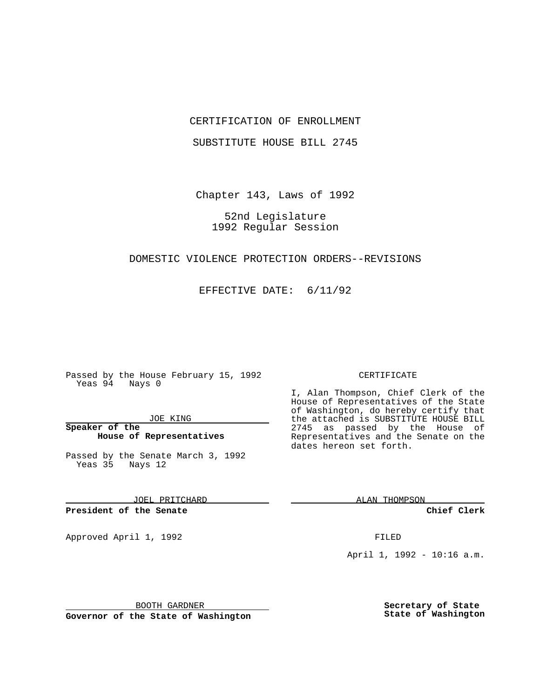### CERTIFICATION OF ENROLLMENT

SUBSTITUTE HOUSE BILL 2745

Chapter 143, Laws of 1992

# 52nd Legislature 1992 Regular Session

#### DOMESTIC VIOLENCE PROTECTION ORDERS--REVISIONS

EFFECTIVE DATE: 6/11/92

Passed by the House February 15, 1992 Yeas 94 Nays 0

JOE KING

## **Speaker of the House of Representatives**

Passed by the Senate March 3, 1992 Yeas 35 Nays 12

JOEL PRITCHARD

## **President of the Senate**

Approved April 1, 1992 **FILED** 

CERTIFICATE

I, Alan Thompson, Chief Clerk of the House of Representatives of the State of Washington, do hereby certify that the attached is SUBSTITUTE HOUSE BILL 2745 as passed by the House of Representatives and the Senate on the dates hereon set forth.

ALAN THOMPSON

**Chief Clerk**

April 1, 1992 - 10:16 a.m.

BOOTH GARDNER

**Governor of the State of Washington**

**Secretary of State State of Washington**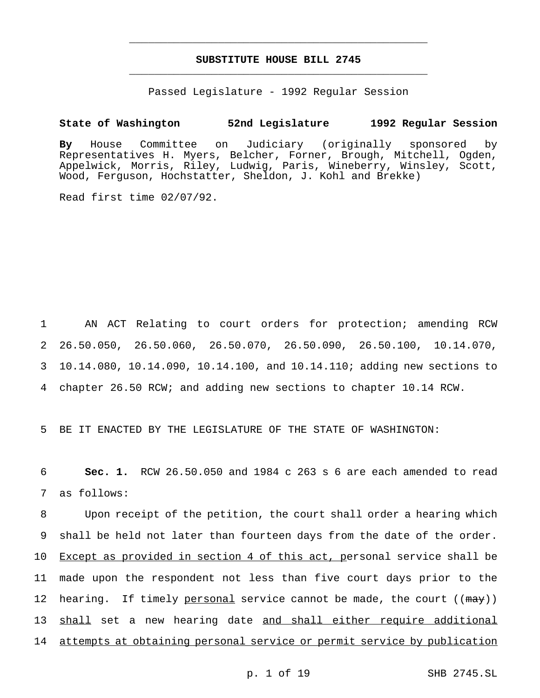# **SUBSTITUTE HOUSE BILL 2745** \_\_\_\_\_\_\_\_\_\_\_\_\_\_\_\_\_\_\_\_\_\_\_\_\_\_\_\_\_\_\_\_\_\_\_\_\_\_\_\_\_\_\_\_\_\_\_

\_\_\_\_\_\_\_\_\_\_\_\_\_\_\_\_\_\_\_\_\_\_\_\_\_\_\_\_\_\_\_\_\_\_\_\_\_\_\_\_\_\_\_\_\_\_\_

Passed Legislature - 1992 Regular Session

### **State of Washington 52nd Legislature 1992 Regular Session**

**By** House Committee on Judiciary (originally sponsored by Representatives H. Myers, Belcher, Forner, Brough, Mitchell, Ogden, Appelwick, Morris, Riley, Ludwig, Paris, Wineberry, Winsley, Scott, Wood, Ferguson, Hochstatter, Sheldon, J. Kohl and Brekke)

Read first time 02/07/92.

 AN ACT Relating to court orders for protection; amending RCW 26.50.050, 26.50.060, 26.50.070, 26.50.090, 26.50.100, 10.14.070, 10.14.080, 10.14.090, 10.14.100, and 10.14.110; adding new sections to chapter 26.50 RCW; and adding new sections to chapter 10.14 RCW.

5 BE IT ENACTED BY THE LEGISLATURE OF THE STATE OF WASHINGTON:

6 **Sec. 1.** RCW 26.50.050 and 1984 c 263 s 6 are each amended to read 7 as follows:

8 Upon receipt of the petition, the court shall order a hearing which 9 shall be held not later than fourteen days from the date of the order. 10 Except as provided in section 4 of this act, personal service shall be 11 made upon the respondent not less than five court days prior to the 12 hearing. If timely personal service cannot be made, the court ((may)) 13 shall set a new hearing date and shall either require additional 14 attempts at obtaining personal service or permit service by publication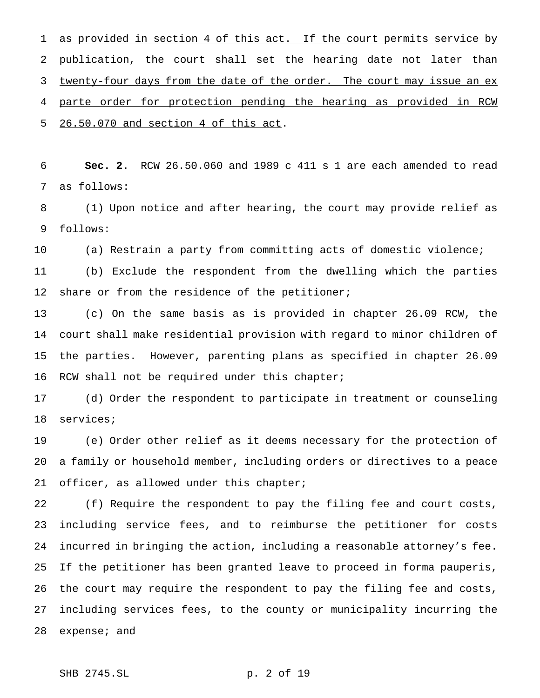1 as provided in section 4 of this act. If the court permits service by 2 publication, the court shall set the hearing date not later than 3 twenty-four days from the date of the order. The court may issue an ex parte order for protection pending the hearing as provided in RCW 26.50.070 and section 4 of this act.

 **Sec. 2.** RCW 26.50.060 and 1989 c 411 s 1 are each amended to read as follows:

 (1) Upon notice and after hearing, the court may provide relief as follows:

(a) Restrain a party from committing acts of domestic violence;

 (b) Exclude the respondent from the dwelling which the parties 12 share or from the residence of the petitioner;

 (c) On the same basis as is provided in chapter 26.09 RCW, the court shall make residential provision with regard to minor children of the parties. However, parenting plans as specified in chapter 26.09 16 RCW shall not be required under this chapter;

 (d) Order the respondent to participate in treatment or counseling services;

 (e) Order other relief as it deems necessary for the protection of a family or household member, including orders or directives to a peace 21 officer, as allowed under this chapter;

 (f) Require the respondent to pay the filing fee and court costs, including service fees, and to reimburse the petitioner for costs incurred in bringing the action, including a reasonable attorney's fee. If the petitioner has been granted leave to proceed in forma pauperis, the court may require the respondent to pay the filing fee and costs, including services fees, to the county or municipality incurring the expense; and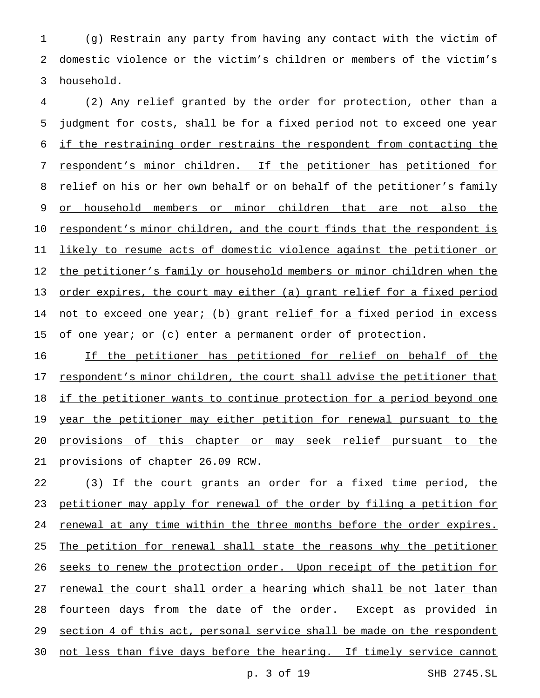1 (g) Restrain any party from having any contact with the victim of 2 domestic violence or the victim's children or members of the victim's 3 household.

4 (2) Any relief granted by the order for protection, other than a 5 judgment for costs, shall be for a fixed period not to exceed one year 6 if the restraining order restrains the respondent from contacting the 7 respondent's minor children. If the petitioner has petitioned for 8 relief on his or her own behalf or on behalf of the petitioner's family 9 or household members or minor children that are not also the 10 respondent's minor children, and the court finds that the respondent is 11 likely to resume acts of domestic violence against the petitioner or 12 the petitioner's family or household members or minor children when the 13 <u>order expires, the court may either (a) grant relief for a fixed period</u> 14 not to exceed one year; (b) grant relief for a fixed period in excess 15 of one year; or (c) enter a permanent order of protection.

16 11 If the petitioner has petitioned for relief on behalf of the 17 respondent's minor children, the court shall advise the petitioner that 18 if the petitioner wants to continue protection for a period beyond one 19 year the petitioner may either petition for renewal pursuant to the 20 provisions of this chapter or may seek relief pursuant to the 21 provisions of chapter 26.09 RCW.

22 (3) If the court grants an order for a fixed time period, the 23 petitioner may apply for renewal of the order by filing a petition for 24 renewal at any time within the three months before the order expires. 25 The petition for renewal shall state the reasons why the petitioner 26 seeks to renew the protection order. Upon receipt of the petition for 27 renewal the court shall order a hearing which shall be not later than 28 fourteen days from the date of the order. Except as provided in 29 section 4 of this act, personal service shall be made on the respondent 30 not less than five days before the hearing. If timely service cannot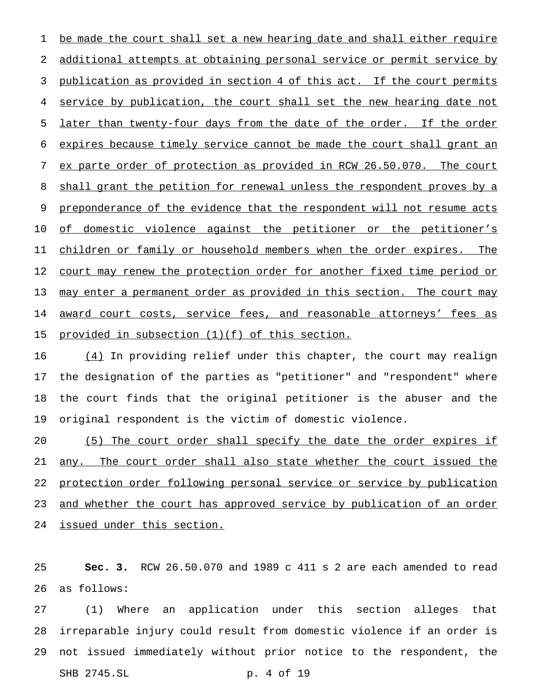1 be made the court shall set a new hearing date and shall either require additional attempts at obtaining personal service or permit service by publication as provided in section 4 of this act. If the court permits service by publication, the court shall set the new hearing date not later than twenty-four days from the date of the order. If the order expires because timely service cannot be made the court shall grant an ex parte order of protection as provided in RCW 26.50.070. The court 8 shall grant the petition for renewal unless the respondent proves by a 9 preponderance of the evidence that the respondent will not resume acts of domestic violence against the petitioner or the petitioner's children or family or household members when the order expires. The 12 court may renew the protection order for another fixed time period or 13 may enter a permanent order as provided in this section. The court may 14 award court costs, service fees, and reasonable attorneys' fees as 15 provided in subsection (1) (f) of this section.

16 (4) In providing relief under this chapter, the court may realign the designation of the parties as "petitioner" and "respondent" where the court finds that the original petitioner is the abuser and the original respondent is the victim of domestic violence.

20 (5) The court order shall specify the date the order expires if any. The court order shall also state whether the court issued the protection order following personal service or service by publication 23 and whether the court has approved service by publication of an order issued under this section.

 **Sec. 3.** RCW 26.50.070 and 1989 c 411 s 2 are each amended to read as follows:

 (1) Where an application under this section alleges that irreparable injury could result from domestic violence if an order is not issued immediately without prior notice to the respondent, the SHB 2745.SL p. 4 of 19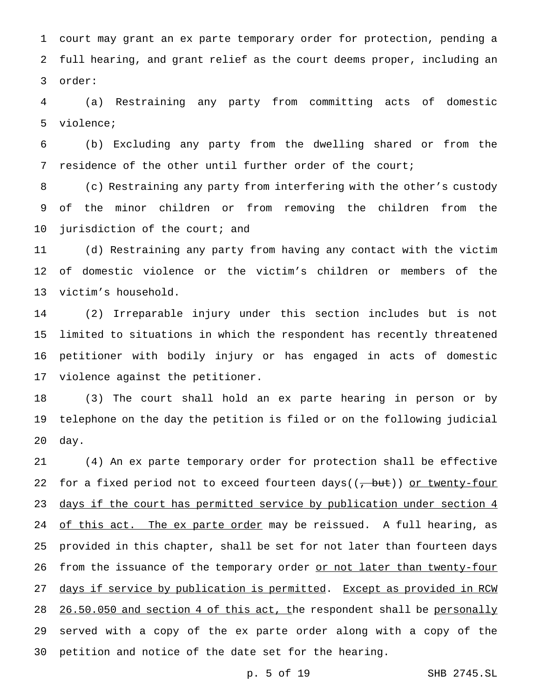court may grant an ex parte temporary order for protection, pending a full hearing, and grant relief as the court deems proper, including an order:

 (a) Restraining any party from committing acts of domestic violence;

 (b) Excluding any party from the dwelling shared or from the residence of the other until further order of the court;

 (c) Restraining any party from interfering with the other's custody of the minor children or from removing the children from the 10 jurisdiction of the court; and

 (d) Restraining any party from having any contact with the victim of domestic violence or the victim's children or members of the victim's household.

 (2) Irreparable injury under this section includes but is not limited to situations in which the respondent has recently threatened petitioner with bodily injury or has engaged in acts of domestic violence against the petitioner.

 (3) The court shall hold an ex parte hearing in person or by telephone on the day the petition is filed or on the following judicial day.

 (4) An ex parte temporary order for protection shall be effective 22 for a fixed period not to exceed fourteen days( $(\tau, \text{but})$ ) or twenty-four 23 days if the court has permitted service by publication under section 4 24 of this act. The ex parte order may be reissued. A full hearing, as provided in this chapter, shall be set for not later than fourteen days 26 from the issuance of the temporary order or not later than twenty-four 27 days if service by publication is permitted. Except as provided in RCW 28 26.50.050 and section 4 of this act, the respondent shall be personally served with a copy of the ex parte order along with a copy of the petition and notice of the date set for the hearing.

p. 5 of 19 SHB 2745.SL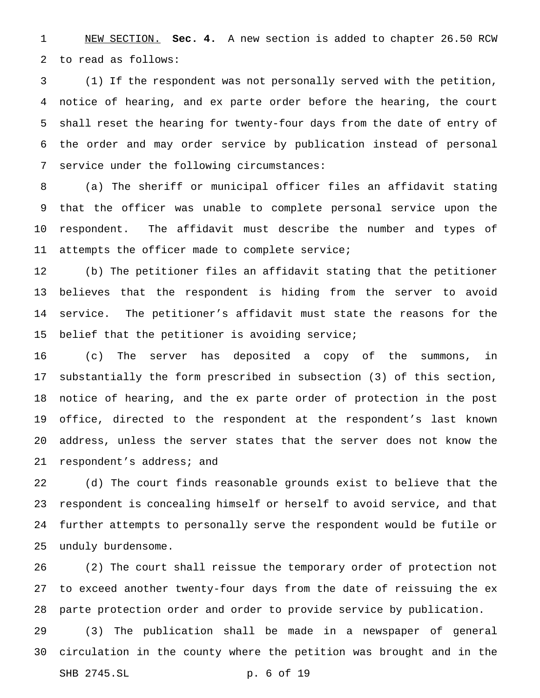NEW SECTION. **Sec. 4.** A new section is added to chapter 26.50 RCW to read as follows:

 (1) If the respondent was not personally served with the petition, notice of hearing, and ex parte order before the hearing, the court shall reset the hearing for twenty-four days from the date of entry of the order and may order service by publication instead of personal service under the following circumstances:

 (a) The sheriff or municipal officer files an affidavit stating that the officer was unable to complete personal service upon the respondent. The affidavit must describe the number and types of 11 attempts the officer made to complete service;

 (b) The petitioner files an affidavit stating that the petitioner believes that the respondent is hiding from the server to avoid service. The petitioner's affidavit must state the reasons for the 15 belief that the petitioner is avoiding service;

 (c) The server has deposited a copy of the summons, in substantially the form prescribed in subsection (3) of this section, notice of hearing, and the ex parte order of protection in the post office, directed to the respondent at the respondent's last known address, unless the server states that the server does not know the respondent's address; and

 (d) The court finds reasonable grounds exist to believe that the respondent is concealing himself or herself to avoid service, and that further attempts to personally serve the respondent would be futile or unduly burdensome.

 (2) The court shall reissue the temporary order of protection not to exceed another twenty-four days from the date of reissuing the ex parte protection order and order to provide service by publication.

 (3) The publication shall be made in a newspaper of general circulation in the county where the petition was brought and in the SHB 2745.SL p. 6 of 19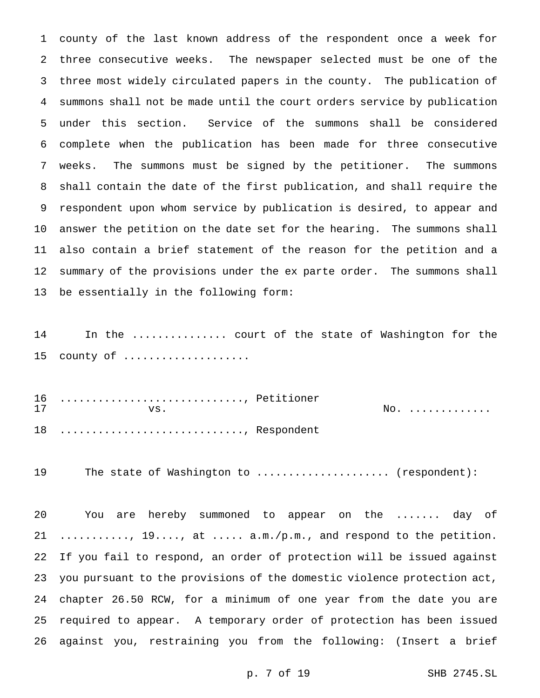county of the last known address of the respondent once a week for three consecutive weeks. The newspaper selected must be one of the three most widely circulated papers in the county. The publication of summons shall not be made until the court orders service by publication under this section. Service of the summons shall be considered complete when the publication has been made for three consecutive weeks. The summons must be signed by the petitioner. The summons shall contain the date of the first publication, and shall require the respondent upon whom service by publication is desired, to appear and answer the petition on the date set for the hearing. The summons shall also contain a brief statement of the reason for the petition and a summary of the provisions under the ex parte order. The summons shall be essentially in the following form:

14 In the ............... court of the state of Washington for the 15 county of ....................

 ............................., Petitioner vs.  $\theta$ 18 ............................., Respondent

The state of Washington to ..................... (respondent):

 You are hereby summoned to appear on the ....... day of ..........., 19...., at ..... a.m./p.m., and respond to the petition. If you fail to respond, an order of protection will be issued against you pursuant to the provisions of the domestic violence protection act, chapter 26.50 RCW, for a minimum of one year from the date you are required to appear. A temporary order of protection has been issued against you, restraining you from the following: (Insert a brief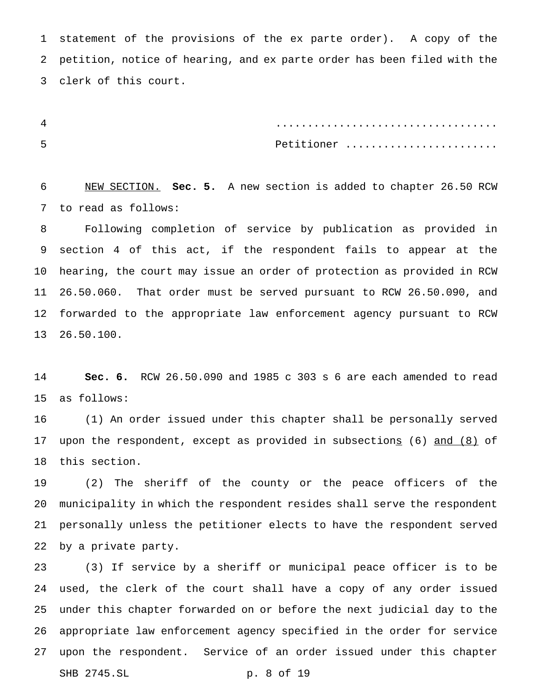statement of the provisions of the ex parte order). A copy of the petition, notice of hearing, and ex parte order has been filed with the clerk of this court.

 ................................... Petitioner ........................

 NEW SECTION. **Sec. 5.** A new section is added to chapter 26.50 RCW to read as follows:

 Following completion of service by publication as provided in section 4 of this act, if the respondent fails to appear at the hearing, the court may issue an order of protection as provided in RCW 26.50.060. That order must be served pursuant to RCW 26.50.090, and forwarded to the appropriate law enforcement agency pursuant to RCW 26.50.100.

 **Sec. 6.** RCW 26.50.090 and 1985 c 303 s 6 are each amended to read as follows:

 (1) An order issued under this chapter shall be personally served 17 upon the respondent, except as provided in subsections (6) and (8) of this section.

 (2) The sheriff of the county or the peace officers of the municipality in which the respondent resides shall serve the respondent personally unless the petitioner elects to have the respondent served by a private party.

 (3) If service by a sheriff or municipal peace officer is to be used, the clerk of the court shall have a copy of any order issued under this chapter forwarded on or before the next judicial day to the appropriate law enforcement agency specified in the order for service upon the respondent. Service of an order issued under this chapter SHB 2745.SL p. 8 of 19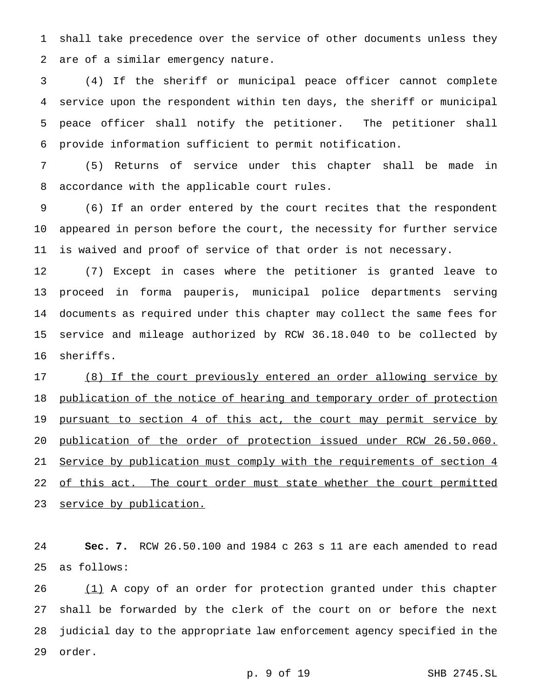shall take precedence over the service of other documents unless they are of a similar emergency nature.

 (4) If the sheriff or municipal peace officer cannot complete service upon the respondent within ten days, the sheriff or municipal peace officer shall notify the petitioner. The petitioner shall provide information sufficient to permit notification.

 (5) Returns of service under this chapter shall be made in accordance with the applicable court rules.

 (6) If an order entered by the court recites that the respondent appeared in person before the court, the necessity for further service is waived and proof of service of that order is not necessary.

 (7) Except in cases where the petitioner is granted leave to proceed in forma pauperis, municipal police departments serving documents as required under this chapter may collect the same fees for service and mileage authorized by RCW 36.18.040 to be collected by sheriffs.

 (8) If the court previously entered an order allowing service by 18 publication of the notice of hearing and temporary order of protection 19 pursuant to section 4 of this act, the court may permit service by publication of the order of protection issued under RCW 26.50.060. Service by publication must comply with the requirements of section 4 22 of this act. The court order must state whether the court permitted 23 service by publication.

 **Sec. 7.** RCW 26.50.100 and 1984 c 263 s 11 are each amended to read as follows:

26 (1) A copy of an order for protection granted under this chapter shall be forwarded by the clerk of the court on or before the next judicial day to the appropriate law enforcement agency specified in the order.

p. 9 of 19 SHB 2745.SL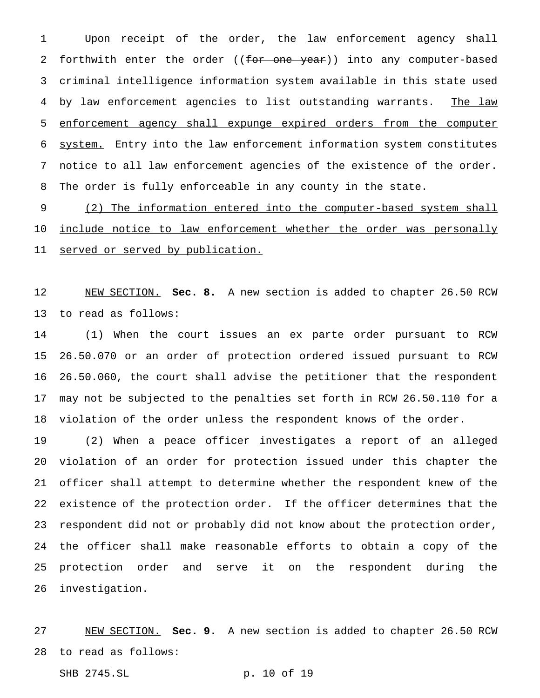Upon receipt of the order, the law enforcement agency shall 2 forthwith enter the order ((for one year)) into any computer-based criminal intelligence information system available in this state used 4 by law enforcement agencies to list outstanding warrants. The law enforcement agency shall expunge expired orders from the computer system. Entry into the law enforcement information system constitutes notice to all law enforcement agencies of the existence of the order. The order is fully enforceable in any county in the state.

 (2) The information entered into the computer-based system shall 10 include notice to law enforcement whether the order was personally 11 served or served by publication.

 NEW SECTION. **Sec. 8.** A new section is added to chapter 26.50 RCW to read as follows:

 (1) When the court issues an ex parte order pursuant to RCW 26.50.070 or an order of protection ordered issued pursuant to RCW 26.50.060, the court shall advise the petitioner that the respondent may not be subjected to the penalties set forth in RCW 26.50.110 for a violation of the order unless the respondent knows of the order.

 (2) When a peace officer investigates a report of an alleged violation of an order for protection issued under this chapter the officer shall attempt to determine whether the respondent knew of the existence of the protection order. If the officer determines that the respondent did not or probably did not know about the protection order, the officer shall make reasonable efforts to obtain a copy of the protection order and serve it on the respondent during the investigation.

 NEW SECTION. **Sec. 9.** A new section is added to chapter 26.50 RCW to read as follows:

SHB 2745.SL p. 10 of 19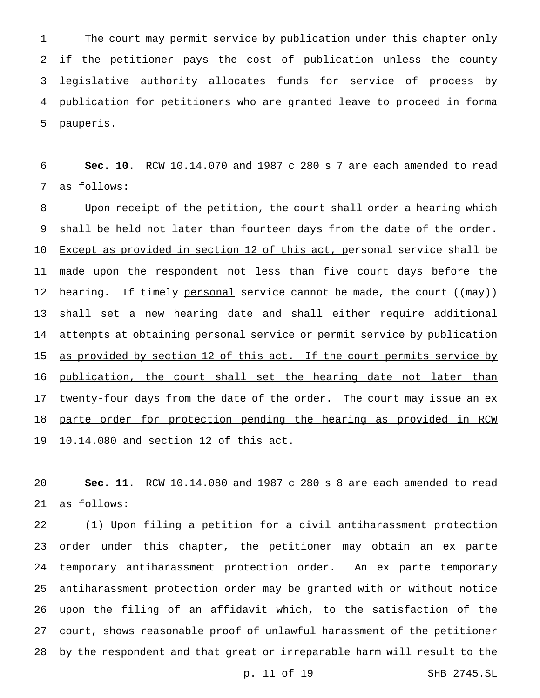The court may permit service by publication under this chapter only if the petitioner pays the cost of publication unless the county legislative authority allocates funds for service of process by publication for petitioners who are granted leave to proceed in forma pauperis.

 **Sec. 10.** RCW 10.14.070 and 1987 c 280 s 7 are each amended to read as follows:

 Upon receipt of the petition, the court shall order a hearing which shall be held not later than fourteen days from the date of the order. 10 Except as provided in section 12 of this act, personal service shall be made upon the respondent not less than five court days before the 12 hearing. If timely personal service cannot be made, the court ((may)) 13 shall set a new hearing date and shall either require additional 14 attempts at obtaining personal service or permit service by publication 15 as provided by section 12 of this act. If the court permits service by 16 publication, the court shall set the hearing date not later than 17 twenty-four days from the date of the order. The court may issue an ex parte order for protection pending the hearing as provided in RCW 10.14.080 and section 12 of this act.

 **Sec. 11.** RCW 10.14.080 and 1987 c 280 s 8 are each amended to read as follows:

 (1) Upon filing a petition for a civil antiharassment protection order under this chapter, the petitioner may obtain an ex parte temporary antiharassment protection order. An ex parte temporary antiharassment protection order may be granted with or without notice upon the filing of an affidavit which, to the satisfaction of the court, shows reasonable proof of unlawful harassment of the petitioner by the respondent and that great or irreparable harm will result to the

p. 11 of 19 SHB 2745.SL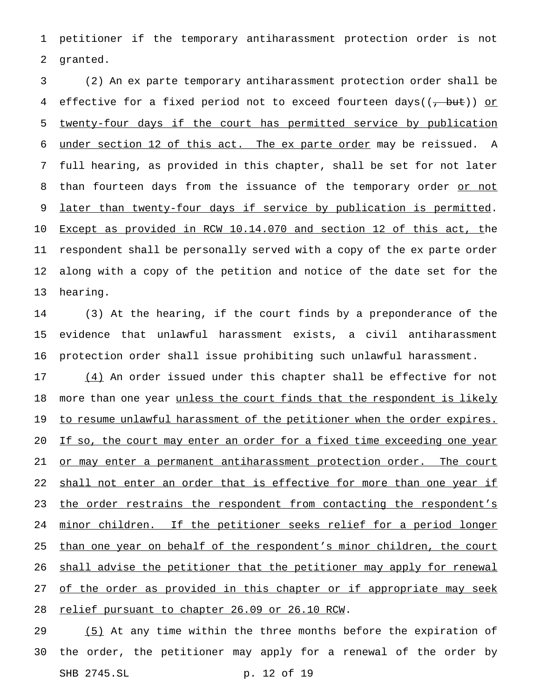1 petitioner if the temporary antiharassment protection order is not 2 granted.

 (2) An ex parte temporary antiharassment protection order shall be 4 effective for a fixed period not to exceed fourteen days( $(\tau$  but)) or twenty-four days if the court has permitted service by publication under section 12 of this act. The ex parte order may be reissued. A full hearing, as provided in this chapter, shall be set for not later 8 than fourteen days from the issuance of the temporary order or not 9 later than twenty-four days if service by publication is permitted. Except as provided in RCW 10.14.070 and section 12 of this act, the respondent shall be personally served with a copy of the ex parte order along with a copy of the petition and notice of the date set for the 13 hearing.

14 (3) At the hearing, if the court finds by a preponderance of the 15 evidence that unlawful harassment exists, a civil antiharassment 16 protection order shall issue prohibiting such unlawful harassment.

17 (4) An order issued under this chapter shall be effective for not 18 more than one year unless the court finds that the respondent is likely 19 to resume unlawful harassment of the petitioner when the order expires. 20 If so, the court may enter an order for a fixed time exceeding one year 21 or may enter a permanent antiharassment protection order. The court 22 shall not enter an order that is effective for more than one year if 23 the order restrains the respondent from contacting the respondent's 24 minor children. If the petitioner seeks relief for a period longer 25 than one year on behalf of the respondent's minor children, the court 26 shall advise the petitioner that the petitioner may apply for renewal 27 of the order as provided in this chapter or if appropriate may seek 28 relief pursuant to chapter 26.09 or 26.10 RCW.

29 (5) At any time within the three months before the expiration of 30 the order, the petitioner may apply for a renewal of the order by SHB 2745.SL p. 12 of 19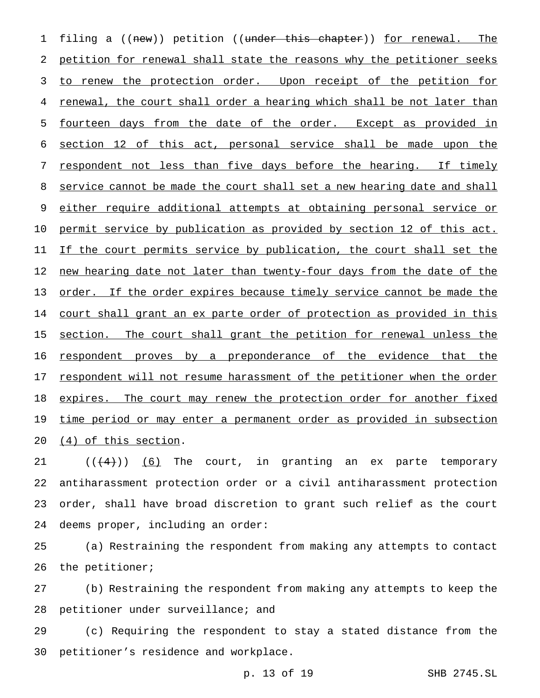1 filing a ((new)) petition ((under this chapter)) for renewal. The 2 petition for renewal shall state the reasons why the petitioner seeks 3 to renew the protection order. Upon receipt of the petition for 4 renewal, the court shall order a hearing which shall be not later than 5 fourteen days from the date of the order. Except as provided in 6 section 12 of this act, personal service shall be made upon the 7 respondent not less than five days before the hearing. If timely 8 service cannot be made the court shall set a new hearing date and shall 9 either require additional attempts at obtaining personal service or 10 permit service by publication as provided by section 12 of this act. 11 If the court permits service by publication, the court shall set the 12 new hearing date not later than twenty-four days from the date of the 13 order. If the order expires because timely service cannot be made the 14 court shall grant an ex parte order of protection as provided in this 15 section. The court shall grant the petition for renewal unless the 16 respondent proves by a preponderance of the evidence that the 17 respondent will not resume harassment of the petitioner when the order 18 expires. The court may renew the protection order for another fixed 19 time period or may enter a permanent order as provided in subsection 20 (4) of this section.

 $((4+))$  (6) The court, in granting an ex parte temporary antiharassment protection order or a civil antiharassment protection order, shall have broad discretion to grant such relief as the court deems proper, including an order:

25 (a) Restraining the respondent from making any attempts to contact 26 the petitioner;

27 (b) Restraining the respondent from making any attempts to keep the 28 petitioner under surveillance; and

29 (c) Requiring the respondent to stay a stated distance from the 30 petitioner's residence and workplace.

p. 13 of 19 SHB 2745.SL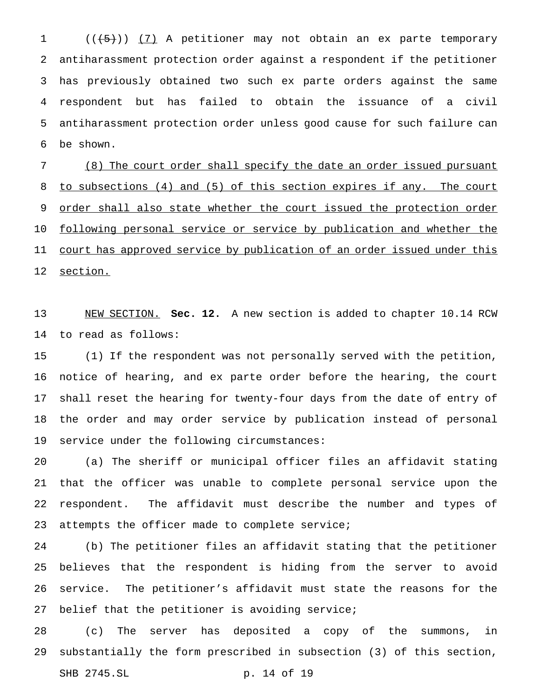1 (((5)) (7) A petitioner may not obtain an ex parte temporary antiharassment protection order against a respondent if the petitioner has previously obtained two such ex parte orders against the same respondent but has failed to obtain the issuance of a civil antiharassment protection order unless good cause for such failure can be shown.

 (8) The court order shall specify the date an order issued pursuant to subsections (4) and (5) of this section expires if any. The court 9 order shall also state whether the court issued the protection order 10 following personal service or service by publication and whether the 11 court has approved service by publication of an order issued under this section.

 NEW SECTION. **Sec. 12.** A new section is added to chapter 10.14 RCW to read as follows:

 (1) If the respondent was not personally served with the petition, notice of hearing, and ex parte order before the hearing, the court shall reset the hearing for twenty-four days from the date of entry of the order and may order service by publication instead of personal service under the following circumstances:

 (a) The sheriff or municipal officer files an affidavit stating that the officer was unable to complete personal service upon the respondent. The affidavit must describe the number and types of attempts the officer made to complete service;

 (b) The petitioner files an affidavit stating that the petitioner believes that the respondent is hiding from the server to avoid service. The petitioner's affidavit must state the reasons for the 27 belief that the petitioner is avoiding service;

 (c) The server has deposited a copy of the summons, in substantially the form prescribed in subsection (3) of this section,

SHB 2745.SL p. 14 of 19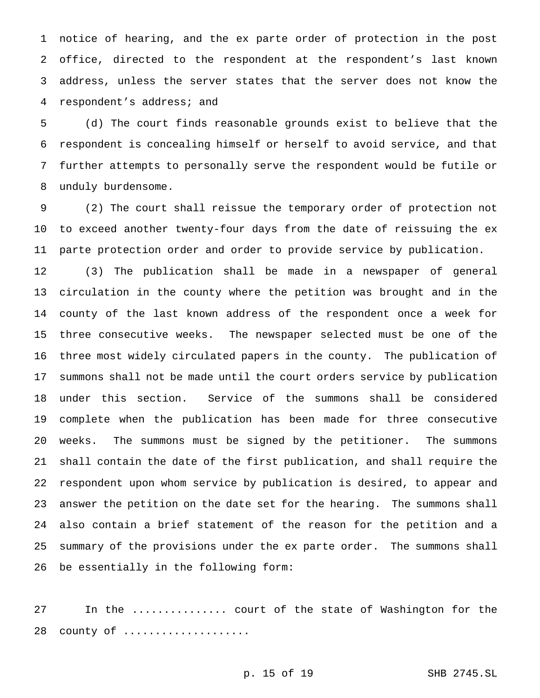notice of hearing, and the ex parte order of protection in the post office, directed to the respondent at the respondent's last known address, unless the server states that the server does not know the respondent's address; and

 (d) The court finds reasonable grounds exist to believe that the respondent is concealing himself or herself to avoid service, and that further attempts to personally serve the respondent would be futile or unduly burdensome.

 (2) The court shall reissue the temporary order of protection not to exceed another twenty-four days from the date of reissuing the ex parte protection order and order to provide service by publication.

 (3) The publication shall be made in a newspaper of general circulation in the county where the petition was brought and in the county of the last known address of the respondent once a week for three consecutive weeks. The newspaper selected must be one of the three most widely circulated papers in the county. The publication of summons shall not be made until the court orders service by publication under this section. Service of the summons shall be considered complete when the publication has been made for three consecutive weeks. The summons must be signed by the petitioner. The summons shall contain the date of the first publication, and shall require the respondent upon whom service by publication is desired, to appear and answer the petition on the date set for the hearing. The summons shall also contain a brief statement of the reason for the petition and a summary of the provisions under the ex parte order. The summons shall be essentially in the following form:

 In the ............... court of the state of Washington for the 28 county of ....................

p. 15 of 19 SHB 2745.SL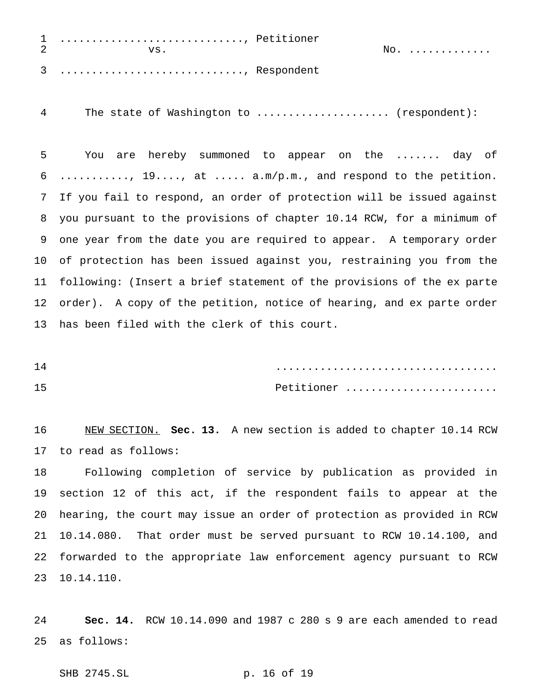| 2 | 1 , Petitioner<br>vs |  | No. |
|---|----------------------|--|-----|
|   | 3 , Respondent       |  |     |

The state of Washington to ..................... (respondent):

 You are hereby summoned to appear on the ....... day of ..........., 19...., at ..... a.m/p.m., and respond to the petition. If you fail to respond, an order of protection will be issued against you pursuant to the provisions of chapter 10.14 RCW, for a minimum of one year from the date you are required to appear. A temporary order of protection has been issued against you, restraining you from the following: (Insert a brief statement of the provisions of the ex parte order). A copy of the petition, notice of hearing, and ex parte order has been filed with the clerk of this court.

 ................................... Petitioner ........................

 NEW SECTION. **Sec. 13.** A new section is added to chapter 10.14 RCW to read as follows:

 Following completion of service by publication as provided in section 12 of this act, if the respondent fails to appear at the hearing, the court may issue an order of protection as provided in RCW 10.14.080. That order must be served pursuant to RCW 10.14.100, and forwarded to the appropriate law enforcement agency pursuant to RCW 10.14.110.

 **Sec. 14.** RCW 10.14.090 and 1987 c 280 s 9 are each amended to read as follows:

SHB 2745.SL p. 16 of 19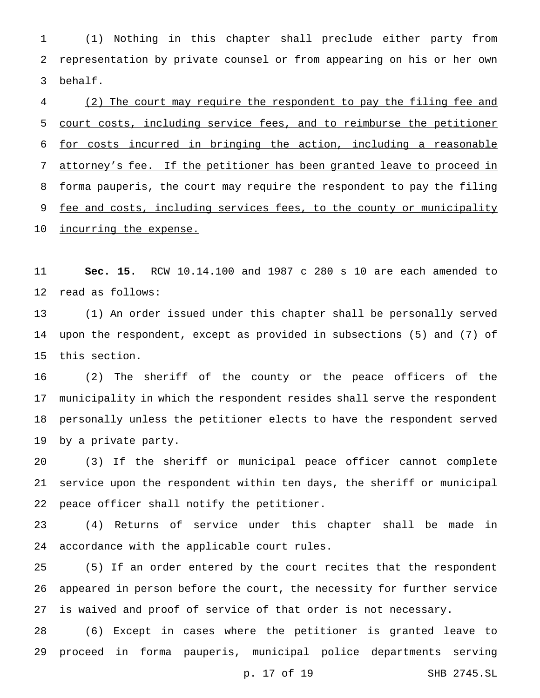(1) Nothing in this chapter shall preclude either party from representation by private counsel or from appearing on his or her own behalf.

 (2) The court may require the respondent to pay the filing fee and court costs, including service fees, and to reimburse the petitioner for costs incurred in bringing the action, including a reasonable attorney's fee. If the petitioner has been granted leave to proceed in forma pauperis, the court may require the respondent to pay the filing 9 fee and costs, including services fees, to the county or municipality 10 incurring the expense.

 **Sec. 15.** RCW 10.14.100 and 1987 c 280 s 10 are each amended to read as follows:

 (1) An order issued under this chapter shall be personally served 14 upon the respondent, except as provided in subsections (5) and (7) of this section.

 (2) The sheriff of the county or the peace officers of the municipality in which the respondent resides shall serve the respondent personally unless the petitioner elects to have the respondent served by a private party.

 (3) If the sheriff or municipal peace officer cannot complete service upon the respondent within ten days, the sheriff or municipal peace officer shall notify the petitioner.

 (4) Returns of service under this chapter shall be made in accordance with the applicable court rules.

 (5) If an order entered by the court recites that the respondent appeared in person before the court, the necessity for further service is waived and proof of service of that order is not necessary.

 (6) Except in cases where the petitioner is granted leave to proceed in forma pauperis, municipal police departments serving

p. 17 of 19 SHB 2745.SL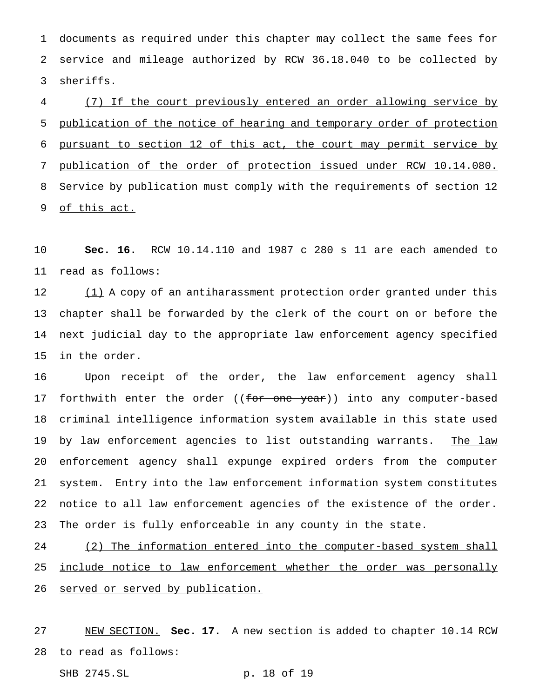documents as required under this chapter may collect the same fees for service and mileage authorized by RCW 36.18.040 to be collected by sheriffs.

 (7) If the court previously entered an order allowing service by publication of the notice of hearing and temporary order of protection pursuant to section 12 of this act, the court may permit service by publication of the order of protection issued under RCW 10.14.080. 8 Service by publication must comply with the requirements of section 12 of this act.

 **Sec. 16.** RCW 10.14.110 and 1987 c 280 s 11 are each amended to read as follows:

12 (1) A copy of an antiharassment protection order granted under this chapter shall be forwarded by the clerk of the court on or before the next judicial day to the appropriate law enforcement agency specified in the order.

 Upon receipt of the order, the law enforcement agency shall 17 forthwith enter the order ((for one year)) into any computer-based criminal intelligence information system available in this state used 19 by law enforcement agencies to list outstanding warrants. The law enforcement agency shall expunge expired orders from the computer 21 system. Entry into the law enforcement information system constitutes notice to all law enforcement agencies of the existence of the order. The order is fully enforceable in any county in the state.

24 (2) The information entered into the computer-based system shall 25 include notice to law enforcement whether the order was personally 26 served or served by publication.

 NEW SECTION. **Sec. 17.** A new section is added to chapter 10.14 RCW to read as follows:

SHB 2745.SL p. 18 of 19